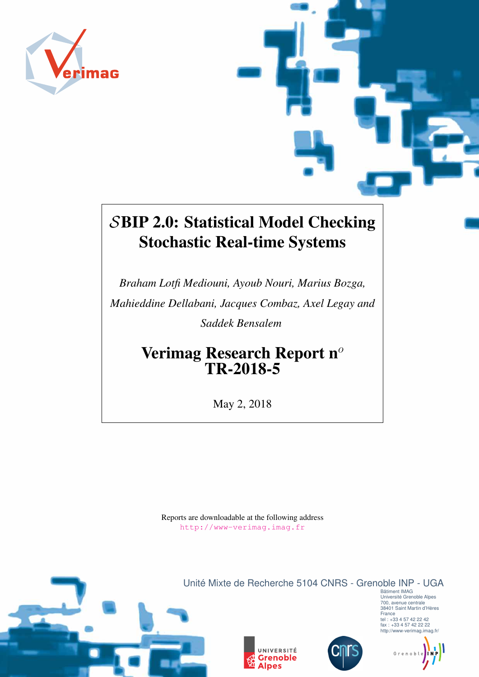

# SBIP 2.0: Statistical Model Checking Stochastic Real-time Systems

*Braham Lotfi Mediouni, Ayoub Nouri, Marius Bozga, Mahieddine Dellabani, Jacques Combaz, Axel Legay and Saddek Bensalem*

> Verimag Research Report  $n^{\circ}$ TR-2018-5

> > May 2, 2018

Reports are downloadable at the following address <http://www-verimag.imag.fr>







Bâtiment IMAG Université Grenoble Alpes 700, avenue centrale 38401 Saint Martin d'Hères France tel : +33 4 57 42 22 42 fax : +33 4 57 42 22 22 http://www-verimag.imag.fr/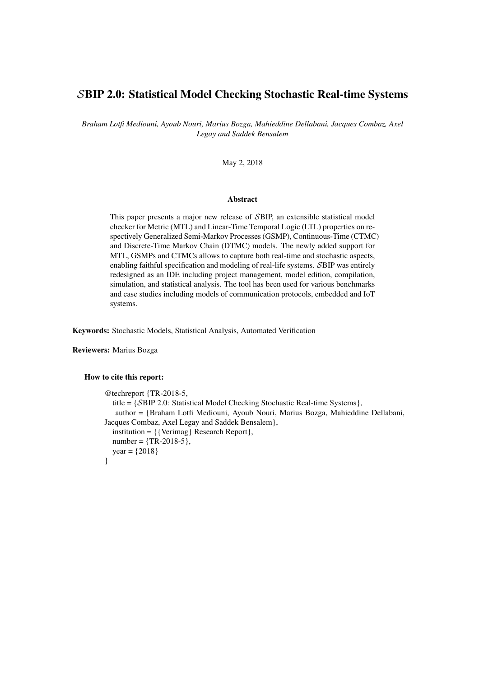### SBIP 2.0: Statistical Model Checking Stochastic Real-time Systems

*Braham Lotfi Mediouni, Ayoub Nouri, Marius Bozga, Mahieddine Dellabani, Jacques Combaz, Axel Legay and Saddek Bensalem*

May 2, 2018

#### Abstract

This paper presents a major new release of SBIP, an extensible statistical model checker for Metric (MTL) and Linear-Time Temporal Logic (LTL) properties on respectively Generalized Semi-Markov Processes (GSMP), Continuous-Time (CTMC) and Discrete-Time Markov Chain (DTMC) models. The newly added support for MTL, GSMPs and CTMCs allows to capture both real-time and stochastic aspects, enabling faithful specification and modeling of real-life systems. SBIP was entirely redesigned as an IDE including project management, model edition, compilation, simulation, and statistical analysis. The tool has been used for various benchmarks and case studies including models of communication protocols, embedded and IoT systems.

Keywords: Stochastic Models, Statistical Analysis, Automated Verification

Reviewers: Marius Bozga

#### How to cite this report:

```
@techreport {TR-2018-5,
  title = {SBIP 2.0: Statistical Model Checking Stochastic Real-time Systems},
   author = {Braham Lotfi Mediouni, Ayoub Nouri, Marius Bozga, Mahieddine Dellabani,
Jacques Combaz, Axel Legay and Saddek Bensalem},
  institution = {{Verimag} Research Report},
  number = {TR-2018-5},year = \{2018\}}
```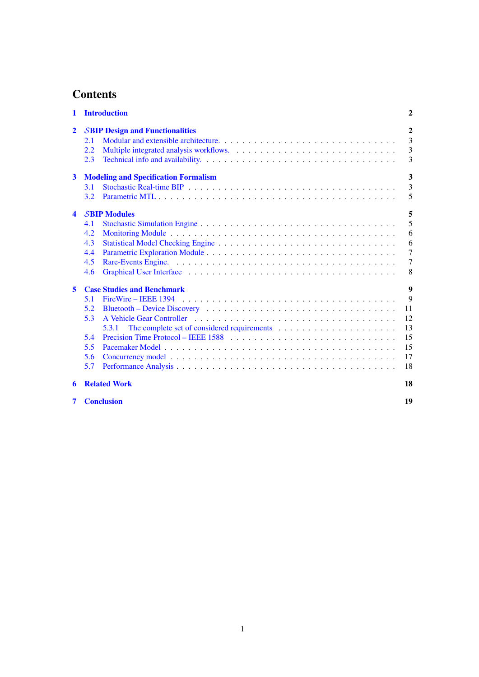## **Contents**

| $\mathbf{1}$         |                                        | <b>Introduction</b>                         | $\mathbf{2}$          |  |  |  |  |  |  |
|----------------------|----------------------------------------|---------------------------------------------|-----------------------|--|--|--|--|--|--|
| $\mathbf{2}$         | <b>SBIP Design and Functionalities</b> |                                             |                       |  |  |  |  |  |  |
|                      | 2.1                                    |                                             | $\boldsymbol{2}$<br>3 |  |  |  |  |  |  |
|                      | 2.2                                    |                                             | $\overline{3}$        |  |  |  |  |  |  |
|                      | 2.3                                    |                                             | 3                     |  |  |  |  |  |  |
| $\mathbf{3}$         |                                        | <b>Modeling and Specification Formalism</b> | 3                     |  |  |  |  |  |  |
|                      | 3.1                                    |                                             | 3                     |  |  |  |  |  |  |
|                      | 3.2                                    |                                             | 5                     |  |  |  |  |  |  |
| $\blacktriangleleft$ | <b>SBIP Modules</b>                    |                                             |                       |  |  |  |  |  |  |
|                      | 4.1                                    |                                             | 5                     |  |  |  |  |  |  |
|                      | 4.2                                    |                                             | 6                     |  |  |  |  |  |  |
|                      | 4.3                                    |                                             | 6                     |  |  |  |  |  |  |
|                      | 4.4                                    |                                             | $\overline{7}$        |  |  |  |  |  |  |
|                      | 4.5                                    |                                             | $\overline{7}$        |  |  |  |  |  |  |
|                      | 4.6                                    |                                             | 8                     |  |  |  |  |  |  |
| 5                    | 9<br><b>Case Studies and Benchmark</b> |                                             |                       |  |  |  |  |  |  |
|                      | 5.1                                    |                                             | 9                     |  |  |  |  |  |  |
|                      | 5.2                                    |                                             | 11                    |  |  |  |  |  |  |
|                      | 5.3                                    |                                             | 12                    |  |  |  |  |  |  |
|                      |                                        | 5.3.1                                       | 13                    |  |  |  |  |  |  |
|                      | 5.4                                    |                                             | 15                    |  |  |  |  |  |  |
|                      | 5.5                                    |                                             | 15                    |  |  |  |  |  |  |
|                      | 5.6                                    |                                             | 17                    |  |  |  |  |  |  |
|                      | 5.7                                    |                                             | 18                    |  |  |  |  |  |  |
| 6                    |                                        | <b>Related Work</b>                         | 18                    |  |  |  |  |  |  |

[7 Conclusion](#page-20-0) 19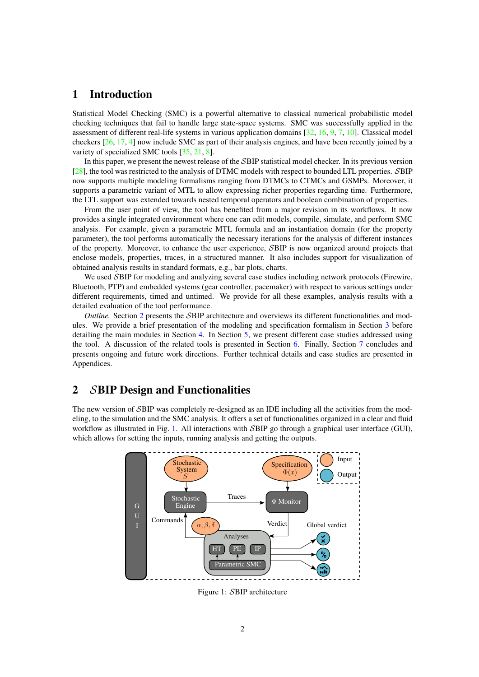### <span id="page-3-0"></span>1 Introduction

Statistical Model Checking (SMC) is a powerful alternative to classical numerical probabilistic model checking techniques that fail to handle large state-space systems. SMC was successfully applied in the assessment of different real-life systems in various application domains [\[32,](#page-22-0) [16,](#page-21-0) [9,](#page-21-1) [7,](#page-21-2) [10\]](#page-21-3). Classical model checkers [\[26,](#page-22-1) [17,](#page-21-4) [4\]](#page-21-5) now include SMC as part of their analysis engines, and have been recently joined by a variety of specialized SMC tools [\[35,](#page-23-0) [21,](#page-22-2) [8\]](#page-21-6).

In this paper, we present the newest release of the SBIP statistical model checker. In its previous version [\[28\]](#page-22-3), the tool was restricted to the analysis of DTMC models with respect to bounded LTL properties. SBIP now supports multiple modeling formalisms ranging from DTMCs to CTMCs and GSMPs. Moreover, it supports a parametric variant of MTL to allow expressing richer properties regarding time. Furthermore, the LTL support was extended towards nested temporal operators and boolean combination of properties.

From the user point of view, the tool has benefited from a major revision in its workflows. It now provides a single integrated environment where one can edit models, compile, simulate, and perform SMC analysis. For example, given a parametric MTL formula and an instantiation domain (for the property parameter), the tool performs automatically the necessary iterations for the analysis of different instances of the property. Moreover, to enhance the user experience, SBIP is now organized around projects that enclose models, properties, traces, in a structured manner. It also includes support for visualization of obtained analysis results in standard formats, e.g., bar plots, charts.

We used SBIP for modeling and analyzing several case studies including network protocols (Firewire, Bluetooth, PTP) and embedded systems (gear controller, pacemaker) with respect to various settings under different requirements, timed and untimed. We provide for all these examples, analysis results with a detailed evaluation of the tool performance.

*Outline.* Section [2](#page-3-1) presents the SBIP architecture and overviews its different functionalities and modules. We provide a brief presentation of the modeling and specification formalism in Section [3](#page-4-3) before detailing the main modules in Section [4.](#page-6-1) In Section [5,](#page-10-0) we present different case studies addressed using the tool. A discussion of the related tools is presented in Section [6.](#page-19-1) Finally, Section [7](#page-20-0) concludes and presents ongoing and future work directions. Further technical details and case studies are presented in Appendices.

### <span id="page-3-1"></span>2 SBIP Design and Functionalities

<span id="page-3-2"></span>The new version of SBIP was completely re-designed as an IDE including all the activities from the modeling, to the simulation and the SMC analysis. It offers a set of functionalities organized in a clear and fluid workflow as illustrated in Fig. [1.](#page-3-2) All interactions with SBIP go through a graphical user interface (GUI), which allows for setting the inputs, running analysis and getting the outputs.



Figure 1: SBIP architecture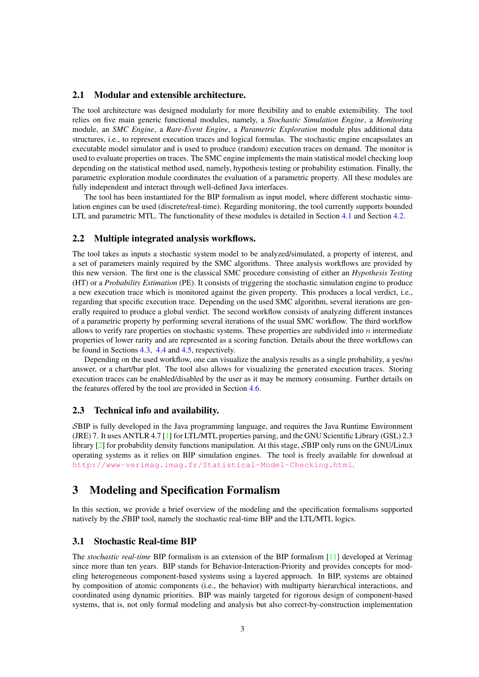#### <span id="page-4-0"></span>2.1 Modular and extensible architecture.

The tool architecture was designed modularly for more flexibility and to enable extensibility. The tool relies on five main generic functional modules, namely, a *Stochastic Simulation Engine*, a *Monitoring* module, an *SMC Engine*, a *Rare-Event Engine*, a *Parametric Exploration* module plus additional data structures, i.e., to represent execution traces and logical formulas. The stochastic engine encapsulates an executable model simulator and is used to produce (random) execution traces on demand. The monitor is used to evaluate properties on traces. The SMC engine implements the main statistical model checking loop depending on the statistical method used, namely, hypothesis testing or probability estimation. Finally, the parametric exploration module coordinates the evaluation of a parametric property. All these modules are fully independent and interact through well-defined Java interfaces.

The tool has been instantiated for the BIP formalism as input model, where different stochastic simulation engines can be used (discrete/real-time). Regarding monitoring, the tool currently supports bounded LTL and parametric MTL. The functionality of these modules is detailed in Section [4.1](#page-6-2) and Section [4.2.](#page-7-0)

#### <span id="page-4-1"></span>2.2 Multiple integrated analysis workflows.

The tool takes as inputs a stochastic system model to be analyzed/simulated, a property of interest, and a set of parameters mainly required by the SMC algorithms. Three analysis workflows are provided by this new version. The first one is the classical SMC procedure consisting of either an *Hypothesis Testing* (HT) or a *Probability Estimation* (PE). It consists of triggering the stochastic simulation engine to produce a new execution trace which is monitored against the given property. This produces a local verdict, i.e., regarding that specific execution trace. Depending on the used SMC algorithm, several iterations are generally required to produce a global verdict. The second workflow consists of analyzing different instances of a parametric property by performing several iterations of the usual SMC workflow. The third workflow allows to verify rare properties on stochastic systems. These properties are subdivided into  $n$  intermediate properties of lower rarity and are represented as a scoring function. Details about the three workflows can be found in Sections [4.3,](#page-7-1) [4.4](#page-8-0) and [4.5,](#page-8-1) respectively.

Depending on the used workflow, one can visualize the analysis results as a single probability, a yes/no answer, or a chart/bar plot. The tool also allows for visualizing the generated execution traces. Storing execution traces can be enabled/disabled by the user as it may be memory consuming. Further details on the features offered by the tool are provided in Section [4.6.](#page-9-0)

#### <span id="page-4-2"></span>2.3 Technical info and availability.

SBIP is fully developed in the Java programming language, and requires the Java Runtime Environment (JRE) 7. It uses ANTLR 4.7 [\[1\]](#page-20-1) for LTL/MTL properties parsing, and the GNU Scientific Library (GSL) 2.3 library [\[2\]](#page-20-2) for probability density functions manipulation. At this stage, SBIP only runs on the GNU/Linux operating systems as it relies on BIP simulation engines. The tool is freely available for download at <http://www-verimag.imag.fr/Statistical-Model-Checking.html>.

### <span id="page-4-3"></span>3 Modeling and Specification Formalism

In this section, we provide a brief overview of the modeling and the specification formalisms supported natively by the SBIP tool, namely the stochastic real-time BIP and the LTL/MTL logics.

#### <span id="page-4-4"></span>3.1 Stochastic Real-time BIP

The *stochastic real-time* BIP formalism is an extension of the BIP formalism [\[11\]](#page-21-7) developed at Verimag since more than ten years. BIP stands for Behavior-Interaction-Priority and provides concepts for modeling heterogeneous component-based systems using a layered approach. In BIP, systems are obtained by composition of atomic components (i.e., the behavior) with multiparty hierarchical interactions, and coordinated using dynamic priorities. BIP was mainly targeted for rigorous design of component-based systems, that is, not only formal modeling and analysis but also correct-by-construction implementation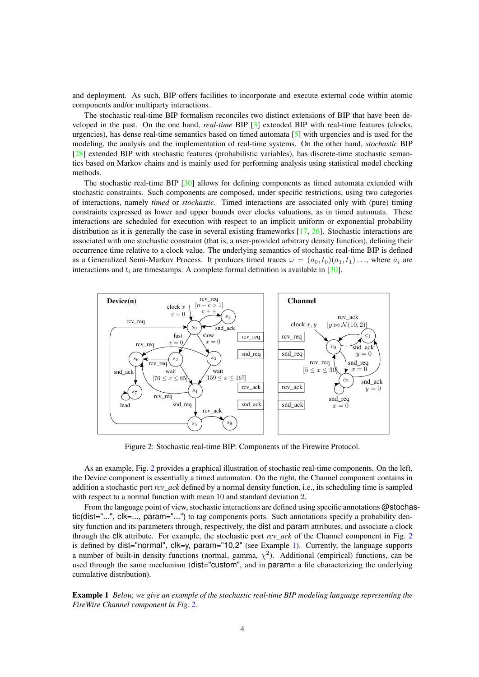and deployment. As such, BIP offers facilities to incorporate and execute external code within atomic components and/or multiparty interactions.

The stochastic real-time BIP formalism reconciles two distinct extensions of BIP that have been developed in the past. On the one hand, *real-time* BIP [\[3\]](#page-21-8) extended BIP with real-time features (clocks, urgencies), has dense real-time semantics based on timed automata [\[5\]](#page-21-9) with urgencies and is used for the modeling, the analysis and the implementation of real-time systems. On the other hand, *stochastic* BIP [\[28\]](#page-22-3) extended BIP with stochastic features (probabilistic variables), has discrete-time stochastic semantics based on Markov chains and is mainly used for performing analysis using statistical model checking methods.

The stochastic real-time BIP [\[30\]](#page-22-4) allows for defining components as timed automata extended with stochastic constraints. Such components are composed, under specific restrictions, using two categories of interactions, namely *timed* or *stochastic*. Timed interactions are associated only with (pure) timing constraints expressed as lower and upper bounds over clocks valuations, as in timed automata. These interactions are scheduled for execution with respect to an implicit uniform or exponential probability distribution as it is generally the case in several existing frameworks [\[17,](#page-21-4) [26\]](#page-22-1). Stochastic interactions are associated with one stochastic constraint (that is, a user-provided arbitrary density function), defining their occurrence time relative to a clock value. The underlying semantics of stochastic real-time BIP is defined as a Generalized Semi-Markov Process. It produces timed traces  $\omega = (a_0, t_0)(a_1, t_1) \dots$ , where  $a_i$  are interactions and  $t_i$  are timestamps. A complete formal definition is available in [\[30\]](#page-22-4).

<span id="page-5-0"></span>

Figure 2: Stochastic real-time BIP: Components of the Firewire Protocol.

As an example, Fig. [2](#page-5-0) provides a graphical illustration of stochastic real-time components. On the left, the Device component is essentially a timed automaton. On the right, the Channel component contains in addition a stochastic port *rcv\_ack* defined by a normal density function, i.e., its scheduling time is sampled with respect to a normal function with mean 10 and standard deviation 2.

From the language point of view, stochastic interactions are defined using specific annotations @stochastic(dist="...", clk=..., param="...") to tag components ports. Such annotations specify a probability density function and its parameters through, respectively, the dist and param attributes, and associate a clock through the clk attribute. For example, the stochastic port *rcv\_ack* of the Channel component in Fig. [2](#page-5-0) is defined by dist="normal",  $\text{clk}=y$ , param="10,2" (see Example [1\)](#page-6-3). Currently, the language supports a number of built-in density functions (normal, gamma,  $\chi^2$ ). Additional (empirical) functions, can be used through the same mechanism (dist="custom", and in param= a file characterizing the underlying cumulative distribution).

Example 1 *Below, we give an example of the stochastic real-time BIP modeling language representing the FireWire Channel component in Fig. [2.](#page-5-0)*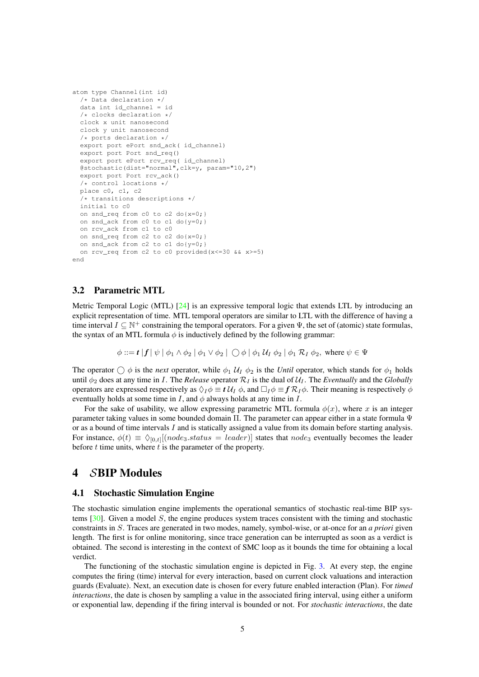```
atom type Channel(int id)
  /* Data declaration */
 data int id_channel = id
  /* clocks declaration */
  clock x unit nanosecond
  clock y unit nanosecond
  /* ports declaration */
  export port ePort snd_ack( id_channel)
  export port Port snd_req()
  export port ePort rcv_req( id_channel)
  @stochastic(dist="normal",clk=y, param="10,2")
  export port Port rcv_ack()
  /* control locations */
  place c0, c1, c2
  /* transitions descriptions */
  initial to c0
  on snd_req from c0 to c2 do{x=0;}
  on snd_ack from c0 to c1 do{y=0;}
  on rcv_ack from c1 to c0
  on snd_req from c2 to c2 do{x=0;}
  on snd ack from c2 to c1 do{y=0;}
  on rcv_req from c2 to c0 provided(x<=30 && x>=5)
end
```
#### <span id="page-6-0"></span>3.2 Parametric MTL

Metric Temporal Logic (MTL) [\[24\]](#page-22-5) is an expressive temporal logic that extends LTL by introducing an explicit representation of time. MTL temporal operators are similar to LTL with the difference of having a time interval  $I \subseteq \mathbb{N}^+$  constraining the temporal operators. For a given  $\Psi$ , the set of (atomic) state formulas, the syntax of an MTL formula  $\phi$  is inductively defined by the following grammar:

$$
\phi ::= t | f | \psi | \phi_1 \wedge \phi_2 | \phi_1 \vee \phi_2 | \bigcirc \phi | \phi_1 U_I \phi_2 | \phi_1 R_I \phi_2
$$
, where  $\psi \in \Psi$ 

The operator  $\bigcirc$   $\phi$  is the *next* operator, while  $\phi_1 U_I \phi_2$  is the *Until* operator, which stands for  $\phi_1$  holds until  $\phi_2$  does at any time in I. The *Release* operator  $\mathcal{R}_I$  is the dual of  $\mathcal{U}_I$ . The *Eventually* and the *Globally* operators are expressed respectively as  $\Diamond_I \phi \equiv t \mathcal{U}_I \phi$ , and  $\Box_I \phi \equiv f \mathcal{R}_I \phi$ . Their meaning is respectively  $\phi$ eventually holds at some time in I, and  $\phi$  always holds at any time in I.

For the sake of usability, we allow expressing parametric MTL formula  $\phi(x)$ , where x is an integer parameter taking values in some bounded domain Π. The parameter can appear either in a state formula Ψ or as a bound of time intervals I and is statically assigned a value from its domain before starting analysis. For instance,  $\phi(t) \equiv \phi_{[0,t]}[(node_3.status = leader)]$  states that  $node_3$  eventually becomes the leader before  $t$  time units, where  $t$  is the parameter of the property.

### <span id="page-6-1"></span>4 SBIP Modules

#### <span id="page-6-2"></span>4.1 Stochastic Simulation Engine

The stochastic simulation engine implements the operational semantics of stochastic real-time BIP systems [\[30\]](#page-22-4). Given a model S, the engine produces system traces consistent with the timing and stochastic constraints in S. Traces are generated in two modes, namely, symbol-wise, or at-once for an *a priori* given length. The first is for online monitoring, since trace generation can be interrupted as soon as a verdict is obtained. The second is interesting in the context of SMC loop as it bounds the time for obtaining a local verdict.

The functioning of the stochastic simulation engine is depicted in Fig. [3.](#page-7-2) At every step, the engine computes the firing (time) interval for every interaction, based on current clock valuations and interaction guards (Evaluate). Next, an execution date is chosen for every future enabled interaction (Plan). For *timed interactions*, the date is chosen by sampling a value in the associated firing interval, using either a uniform or exponential law, depending if the firing interval is bounded or not. For *stochastic interactions*, the date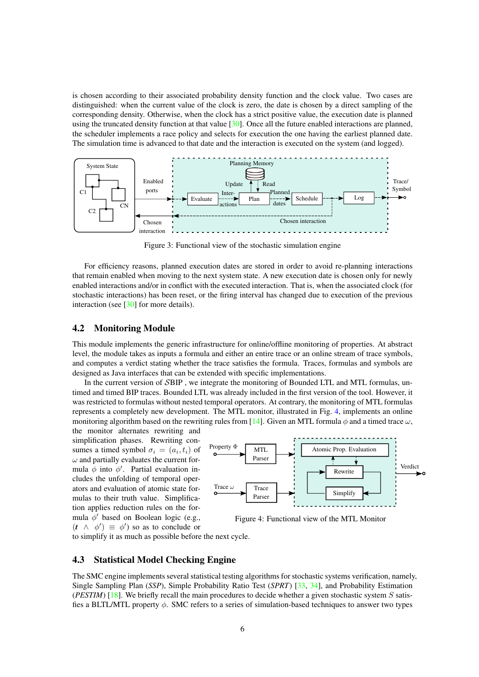is chosen according to their associated probability density function and the clock value. Two cases are distinguished: when the current value of the clock is zero, the date is chosen by a direct sampling of the corresponding density. Otherwise, when the clock has a strict positive value, the execution date is planned using the truncated density function at that value  $[30]$ . Once all the future enabled interactions are planned, the scheduler implements a race policy and selects for execution the one having the earliest planned date. The simulation time is advanced to that date and the interaction is executed on the system (and logged).

<span id="page-7-2"></span>

Figure 3: Functional view of the stochastic simulation engine

For efficiency reasons, planned execution dates are stored in order to avoid re-planning interactions that remain enabled when moving to the next system state. A new execution date is chosen only for newly enabled interactions and/or in conflict with the executed interaction. That is, when the associated clock (for stochastic interactions) has been reset, or the firing interval has changed due to execution of the previous interaction (see  $\lceil 30 \rceil$  for more details).

#### <span id="page-7-0"></span>4.2 Monitoring Module

This module implements the generic infrastructure for online/offline monitoring of properties. At abstract level, the module takes as inputs a formula and either an entire trace or an online stream of trace symbols, and computes a verdict stating whether the trace satisfies the formula. Traces, formulas and symbols are designed as Java interfaces that can be extended with specific implementations.

In the current version of SBIP , we integrate the monitoring of Bounded LTL and MTL formulas, untimed and timed BIP traces. Bounded LTL was already included in the first version of the tool. However, it was restricted to formulas without nested temporal operators. At contrary, the monitoring of MTL formulas represents a completely new development. The MTL monitor, illustrated in Fig. [4,](#page-7-3) implements an online monitoring algorithm based on the rewriting rules from [\[14\]](#page-21-10). Given an MTL formula  $\phi$  and a timed trace  $\omega$ ,

the monitor alternates rewriting and simplification phases. Rewriting consumes a timed symbol  $\sigma_i = (a_i, t_i)$  of  $\omega$  and partially evaluates the current formula  $\phi$  into  $\phi'$ . Partial evaluation includes the unfolding of temporal operators and evaluation of atomic state formulas to their truth value. Simplification applies reduction rules on the formula  $\phi'$  based on Boolean logic (e.g.,  $(t \land \phi') \equiv \phi'$  so as to conclude or



<span id="page-7-3"></span>Figure 4: Functional view of the MTL Monitor

to simplify it as much as possible before the next cycle.

#### <span id="page-7-1"></span>4.3 Statistical Model Checking Engine

The SMC engine implements several statistical testing algorithms for stochastic systems verification, namely, Single Sampling Plan (*SSP*), Simple Probability Ratio Test (*SPRT*) [\[33,](#page-22-6) [34\]](#page-22-7), and Probability Estimation ( $PESTIM$ ) [\[18\]](#page-21-11). We briefly recall the main procedures to decide whether a given stochastic system S satisfies a BLTL/MTL property  $\phi$ . SMC refers to a series of simulation-based techniques to answer two types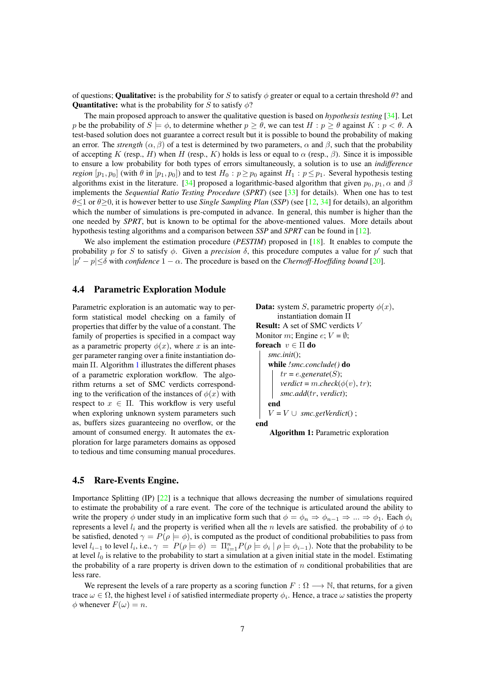of questions; **Qualitative:** is the probability for S to satisfy  $\phi$  greater or equal to a certain threshold  $\theta$ ? and **Quantitative:** what is the probability for S to satisfy  $\phi$ ?

The main proposed approach to answer the qualitative question is based on *hypothesis testing* [\[34\]](#page-22-7). Let p be the probability of  $S \models \phi$ , to determine whether  $p \ge \theta$ , we can test  $H : p \ge \theta$  against  $K : p < \theta$ . test-based solution does not guarantee a correct result but it is possible to bound the probability of making an error. The *strength* ( $\alpha$ ,  $\beta$ ) of a test is determined by two parameters,  $\alpha$  and  $\beta$ , such that the probability of accepting K (resp., H) when H (resp., K) holds is less or equal to  $\alpha$  (resp.,  $\beta$ ). Since it is impossible to ensure a low probability for both types of errors simultaneously, a solution is to use an *indifference region*  $[p_1, p_0]$  (with  $\theta$  in  $[p_1, p_0]$ ) and to test  $H_0 : p \geq p_0$  against  $H_1 : p \leq p_1$ . Several hypothesis testing algorithms exist in the literature. [\[34\]](#page-22-7) proposed a logarithmic-based algorithm that given  $p_0, p_1, \alpha$  and  $\beta$ implements the *Sequential Ratio Testing Procedure* (*SPRT*) (see [\[33\]](#page-22-6) for details). When one has to test θ≤1 or θ≥0, it is however better to use *Single Sampling Plan* (*SSP*) (see [\[12,](#page-21-12) [34\]](#page-22-7) for details), an algorithm which the number of simulations is pre-computed in advance. In general, this number is higher than the one needed by *SPRT*, but is known to be optimal for the above-mentioned values. More details about hypothesis testing algorithms and a comparison between *SSP* and *SPRT* can be found in [\[12\]](#page-21-12).

We also implement the estimation procedure (*PESTIM*) proposed in [\[18\]](#page-21-11). It enables to compute the probability p for S to satisfy  $\phi$ . Given a *precision*  $\delta$ , this procedure computes a value for p' such that  $|p'-p| \leq \delta$  with *confidence*  $1-\alpha$ . The procedure is based on the *Chernoff-Hoeffding bound* [\[20\]](#page-22-8).

#### <span id="page-8-0"></span>4.4 Parametric Exploration Module

Parametric exploration is an automatic way to perform statistical model checking on a family of properties that differ by the value of a constant. The family of properties is specified in a compact way as a parametric property  $\phi(x)$ , where x is an integer parameter ranging over a finite instantiation domain  $\Pi$ . Algorithm [1](#page-8-2) illustrates the different phases of a parametric exploration workflow. The algorithm returns a set of SMC verdicts corresponding to the verification of the instances of  $\phi(x)$  with respect to  $x \in \Pi$ . This workflow is very useful when exploring unknown system parameters such as, buffers sizes guaranteeing no overflow, or the amount of consumed energy. It automates the exploration for large parameters domains as opposed to tedious and time consuming manual procedures.

```
Data: system S, parametric property \phi(x),
       instantiation domain Π
Result: A set of SMC verdicts V
Monitor m; Engine e; V = \emptyset;
foreach v \in \Pi do
   smc.init();
    while !smc.conclude() do
        tr = e.generate(S);
        verdict = m.check(\phi(v), tr);
       smc.add(tr, verdict);
    end
    V = V \cup smc.getVerdict();
end
```
<span id="page-8-2"></span>Algorithm 1: Parametric exploration

#### <span id="page-8-1"></span>4.5 Rare-Events Engine.

Importance Splitting (IP) [\[22\]](#page-22-9) is a technique that allows decreasing the number of simulations required to estimate the probability of a rare event. The core of the technique is articulated around the ability to write the propery  $\phi$  under study in an implicative form such that  $\phi = \phi_n \Rightarrow \phi_{n-1} \Rightarrow ... \Rightarrow \phi_1$ . Each  $\phi_i$ represents a level  $l_i$  and the property is verified when all the n levels are satisfied. the probability of  $\phi$  to be satisfied, denoted  $\gamma = P(\rho \models \phi)$ , is computed as the product of conditional probabilities to pass from level  $l_{i-1}$  to level  $l_i$ , i.e.,  $\gamma = P(\rho \models \phi) = \prod_{i=1}^n P(\rho \models \phi_i \mid \rho \models \phi_{i-1})$ . Note that the probability to be at level  $l_0$  is relative to the probability to start a simulation at a given initial state in the model. Estimating the probability of a rare property is driven down to the estimation of  $n$  conditional probabilities that are less rare.

We represent the levels of a rare property as a scoring function  $F : \Omega \longrightarrow \mathbb{N}$ , that returns, for a given trace  $\omega \in \Omega$ , the highest level i of satisfied intermediate property  $\phi_i$ . Hence, a trace  $\omega$  satisties the property  $\phi$  whenever  $F(\omega) = n$ .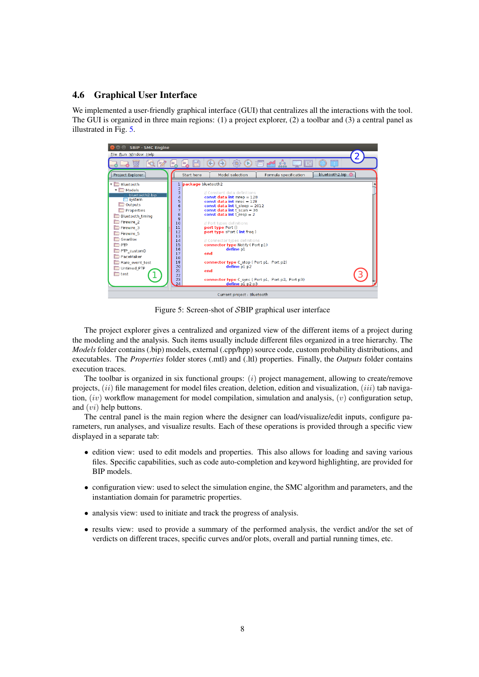### <span id="page-9-0"></span>4.6 Graphical User Interface

We implemented a user-friendly graphical interface (GUI) that centralizes all the interactions with the tool. The GUI is organized in three main regions: (1) a project explorer, (2) a toolbar and (3) a central panel as illustrated in Fig. [5.](#page-9-1)

<span id="page-9-1"></span>

Figure 5: Screen-shot of SBIP graphical user interface

The project explorer gives a centralized and organized view of the different items of a project during the modeling and the analysis. Such items usually include different files organized in a tree hierarchy. The *Models* folder contains (.bip) models, external (.cpp/hpp) source code, custom probability distributions, and executables. The *Properties* folder stores (.mtl) and (.ltl) properties. Finally, the *Outputs* folder contains execution traces.

The toolbar is organized in six functional groups:  $(i)$  project management, allowing to create/remove projects,  $(ii)$  file management for model files creation, deletion, edition and visualization,  $(iii)$  tab navigation,  $(iv)$  workflow management for model compilation, simulation and analysis,  $(v)$  configuration setup, and (vi) help buttons.

The central panel is the main region where the designer can load/visualize/edit inputs, configure parameters, run analyses, and visualize results. Each of these operations is provided through a specific view displayed in a separate tab:

- edition view: used to edit models and properties. This also allows for loading and saving various files. Specific capabilities, such as code auto-completion and keyword highlighting, are provided for BIP models.
- configuration view: used to select the simulation engine, the SMC algorithm and parameters, and the instantiation domain for parametric properties.
- analysis view: used to initiate and track the progress of analysis.
- results view: used to provide a summary of the performed analysis, the verdict and/or the set of verdicts on different traces, specific curves and/or plots, overall and partial running times, etc.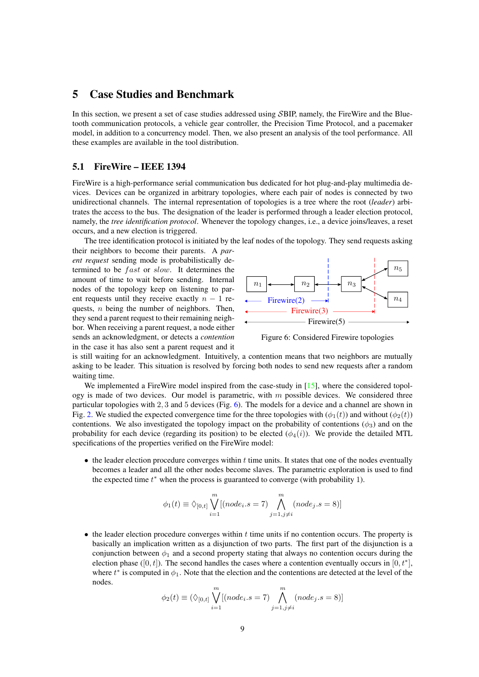### <span id="page-10-0"></span>5 Case Studies and Benchmark

In this section, we present a set of case studies addressed using SBIP, namely, the FireWire and the Bluetooth communication protocols, a vehicle gear controller, the Precision Time Protocol, and a pacemaker model, in addition to a concurrency model. Then, we also present an analysis of the tool performance. All these examples are available in the tool distribution.

#### <span id="page-10-1"></span>5.1 FireWire – IEEE 1394

FireWire is a high-performance serial communication bus dedicated for hot plug-and-play multimedia devices. Devices can be organized in arbitrary topologies, where each pair of nodes is connected by two unidirectional channels. The internal representation of topologies is a tree where the root (*leader*) arbitrates the access to the bus. The designation of the leader is performed through a leader election protocol, namely, the *tree identification protocol*. Whenever the topology changes, i.e., a device joins/leaves, a reset occurs, and a new election is triggered.

The tree identification protocol is initiated by the leaf nodes of the topology. They send requests asking

their neighbors to become their parents. A *parent request* sending mode is probabilistically determined to be *fast* or *slow*. It determines the amount of time to wait before sending. Internal nodes of the topology keep on listening to parent requests until they receive exactly  $n - 1$  requests, n being the number of neighbors. Then, they send a parent request to their remaining neighbor. When receiving a parent request, a node either sends an acknowledgment, or detects a *contention* in the case it has also sent a parent request and it



<span id="page-10-2"></span>Figure 6: Considered Firewire topologies

is still waiting for an acknowledgment. Intuitively, a contention means that two neighbors are mutually asking to be leader. This situation is resolved by forcing both nodes to send new requests after a random waiting time.

We implemented a FireWire model inspired from the case-study in [\[15\]](#page-21-13), where the considered topology is made of two devices. Our model is parametric, with  $m$  possible devices. We considered three particular topologies with 2, 3 and 5 devices (Fig. [6\)](#page-10-2). The models for a device and a channel are shown in Fig. [2.](#page-5-0) We studied the expected convergence time for the three topologies with  $(\phi_1(t))$  and without  $(\phi_2(t))$ contentions. We also investigated the topology impact on the probability of contentions ( $\phi_3$ ) and on the probability for each device (regarding its position) to be elected  $(\phi_4(i))$ . We provide the detailed MTL specifications of the properties verified on the FireWire model:

 $\bullet$  the leader election procedure converges within  $t$  time units. It states that one of the nodes eventually becomes a leader and all the other nodes become slaves. The parametric exploration is used to find the expected time  $t^*$  when the process is guaranteed to converge (with probability 1).

$$
\phi_1(t) \equiv \Diamond_{[0,t]} \bigvee_{i=1}^m [(\text{node}_i.s = 7) \bigwedge_{j=1, j \neq i}^m (\text{node}_j.s = 8)]
$$

 $\bullet$  the leader election procedure converges within t time units if no contention occurs. The property is basically an implication written as a disjunction of two parts. The first part of the disjunction is a conjunction between  $\phi_1$  and a second property stating that always no contention occurs during the election phase ([0, t]). The second handles the cases where a contention eventually occurs in [0,  $t^*$ ], where  $t^*$  is computed in  $\phi_1$ . Note that the election and the contentions are detected at the level of the nodes.

$$
\phi_2(t) \equiv (\Diamond_{[0,t]}\bigvee_{i=1}^m[(node_i.s=7)\bigwedge_{j=1,j\neq i}^m(node_j.s=8)]
$$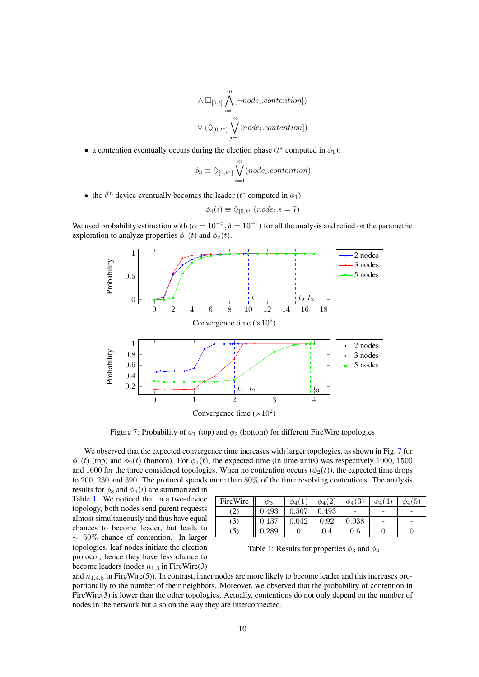$$
\wedge \Box_{[0,t]}\bigwedge_{i=1}^m [\neg node_i. contention]) \\ \vee (\lozenge_{[0,t^*]}\bigvee_{j=1}^m [node_i. contention])
$$

• a contention eventually occurs during the election phase ( $t^*$  computed in  $\phi_1$ ):

$$
\phi_3 \equiv \Diamond_{[0,t^*]} \bigvee_{i=1}^m (node_i. contention)
$$

• the *i*<sup>th</sup> device eventually becomes the leader ( $t^*$  computed in  $\phi_1$ ):

$$
\phi_4(i) \equiv \Diamond_{[0,t^*]}(node_i.s = 7)
$$

<span id="page-11-0"></span>We used probability estimation with ( $\alpha = 10^{-5}$ ,  $\delta = 10^{-1}$ ) for all the analysis and relied on the parametric exploration to analyze properties  $\phi_1(t)$  and  $\phi_2(t)$ .



Figure 7: Probability of  $\phi_1$  (top) and  $\phi_2$  (bottom) for different FireWire topologies

We observed that the expected convergence time increases with larger topologies, as shown in Fig. [7](#page-11-0) for  $\phi_1(t)$  (top) and  $\phi_2(t)$  (bottom). For  $\phi_1(t)$ , the expected time (in time units) was respectively 1000, 1500 and 1600 for the three considered topologies. When no contention occurs  $(\phi_2(t))$ , the expected time drops to 200, 230 and 390. The protocol spends more than 80% of the time resolving contentions. The analysis results for  $\phi_3$  and  $\phi_4(i)$  are summarized in

Table [1.](#page-11-1) We noticed that in a two-device topology, both nodes send parent requests almost simultaneously and thus have equal chances to become leader, but leads to  $~\sim~50\%$  chance of contention. In larger topologies, leaf nodes initiate the election protocol, hence they have less chance to become leaders (nodes  $n_{1,3}$  in FireWire(3)

| FireWire                    | $\varphi_3$ | $\varphi_4$ | $\phi_4$    | $\phi_4(3)$ | $4^{\circ}$<br>$\varphi_4$ | $\phi_4(5)$ |
|-----------------------------|-------------|-------------|-------------|-------------|----------------------------|-------------|
| $\mathcal{L}_{\mathcal{A}}$ | $\rm 0.493$ | 0.507       | $\rm 0.493$ |             | $\overline{\phantom{a}}$   |             |
| (3)                         | $\rm 0.137$ | $\,0.042\,$ | 0.92        | 0.038       | $\overline{\phantom{a}}$   | -           |
| $\mathcal{L}$               | ${0.289}$   |             | 0.4         | $\rm 0.6$   |                            |             |

<span id="page-11-1"></span>Table 1: Results for properties  $\phi_3$  and  $\phi_4$ 

and  $n_{1,4,5}$  in FireWire(5)). In contrast, inner nodes are more likely to become leader and this increases proportionally to the number of their neighbors. Moreover, we observed that the probability of contention in FireWire(3) is lower than the other topologies. Actually, contentions do not only depend on the number of nodes in the network but also on the way they are interconnected.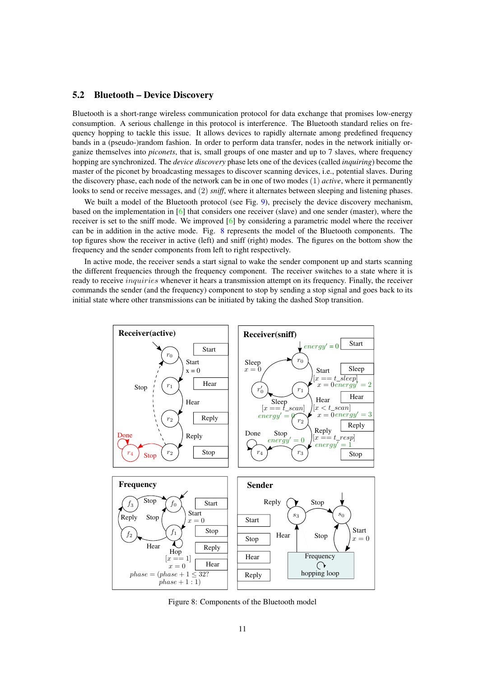#### <span id="page-12-0"></span>5.2 Bluetooth – Device Discovery

Bluetooth is a short-range wireless communication protocol for data exchange that promises low-energy consumption. A serious challenge in this protocol is interference. The Bluetooth standard relies on frequency hopping to tackle this issue. It allows devices to rapidly alternate among predefined frequency bands in a (pseudo-)random fashion. In order to perform data transfer, nodes in the network initially organize themselves into *piconets*, that is, small groups of one master and up to 7 slaves, where frequency hopping are synchronized. The *device discovery* phase lets one of the devices (called *inquiring*) become the master of the piconet by broadcasting messages to discover scanning devices, i.e., potential slaves. During the discovery phase, each node of the network can be in one of two modes (1) *active*, where it permanently looks to send or receive messages, and (2) *sniff*, where it alternates between sleeping and listening phases.

We built a model of the Bluetooth protocol (see Fig. [9\)](#page-13-1), precisely the device discovery mechanism, based on the implementation in [\[6\]](#page-21-14) that considers one receiver (slave) and one sender (master), where the receiver is set to the sniff mode. We improved [\[6\]](#page-21-14) by considering a parametric model where the receiver can be in addition in the active mode. Fig. [8](#page-12-1) represents the model of the Bluetooth components. The top figures show the receiver in active (left) and sniff (right) modes. The figures on the bottom show the frequency and the sender components from left to right respectively.

In active mode, the receiver sends a start signal to wake the sender component up and starts scanning the different frequencies through the frequency component. The receiver switches to a state where it is ready to receive *inquiries* whenever it hears a transmission attempt on its frequency. Finally, the receiver commands the sender (and the frequency) component to stop by sending a stop signal and goes back to its initial state where other transmissions can be initiated by taking the dashed Stop transition.

<span id="page-12-1"></span>

Figure 8: Components of the Bluetooth model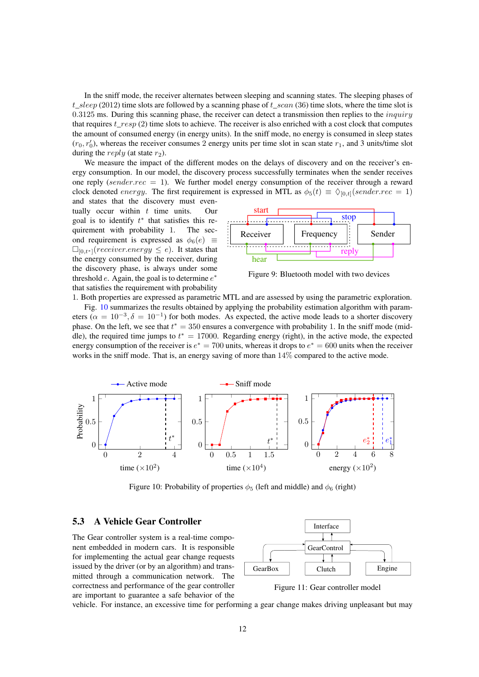In the sniff mode, the receiver alternates between sleeping and scanning states. The sleeping phases of t\_sleep (2012) time slots are followed by a scanning phase of t\_scan (36) time slots, where the time slot is  $0.3125$  ms. During this scanning phase, the receiver can detect a transmission then replies to the *inquiry* that requires t\_resp (2) time slots to achieve. The receiver is also enriched with a cost clock that computes the amount of consumed energy (in energy units). In the sniff mode, no energy is consumed in sleep states  $(r_0, r'_0)$ , whereas the receiver consumes 2 energy units per time slot in scan state  $r_1$ , and 3 units/time slot during the reply (at state  $r_2$ ).

We measure the impact of the different modes on the delays of discovery and on the receiver's energy consumption. In our model, the discovery process successfully terminates when the sender receives one reply (sender.rec  $= 1$ ). We further model energy consumption of the receiver through a reward clock denoted *energy*. The first requirement is expressed in MTL as  $\phi_5(t) \equiv \phi_{[0,t]}(sender.rec = 1)$ 

and states that the discovery must eventually occur within  $t$  time units. Our goal is to identify  $t^*$  that satisfies this requirement with probability 1. The second requirement is expressed as  $\phi_6(e) \equiv$  $\Box_{[0,t^*]}(receiver.energy \leq e)$ . It states that the energy consumed by the receiver, during the discovery phase, is always under some threshold  $e$ . Again, the goal is to determine  $e^*$ that satisfies the requirement with probability



<span id="page-13-1"></span>Figure 9: Bluetooth model with two devices

1. Both properties are expressed as parametric MTL and are assessed by using the parametric exploration. Fig. [10](#page-13-2) summarizes the results obtained by applying the probability estimation algorithm with parameters ( $\alpha = 10^{-3}, \delta = 10^{-1}$ ) for both modes. As expected, the active mode leads to a shorter discovery phase. On the left, we see that  $t^* = 350$  ensures a convergence with probability 1. In the sniff mode (middle), the required time jumps to  $t^* = 17000$ . Regarding energy (right), in the active mode, the expected energy consumption of the receiver is  $e^* = 700$  units, whereas it drops to  $e^* = 600$  units when the receiver works in the sniff mode. That is, an energy saving of more than 14% compared to the active mode.

<span id="page-13-2"></span>

Figure 10: Probability of properties  $\phi_5$  (left and middle) and  $\phi_6$  (right)

The Gear controller system is a real-time component embedded in modern cars. It is responsible for implementing the actual gear change requests issued by the driver (or by an algorithm) and transmitted through a communication network. The correctness and performance of the gear controller are important to guarantee a safe behavior of the

<span id="page-13-0"></span>

<span id="page-13-3"></span>Figure 11: Gear controller model

vehicle. For instance, an excessive time for performing a gear change makes driving unpleasant but may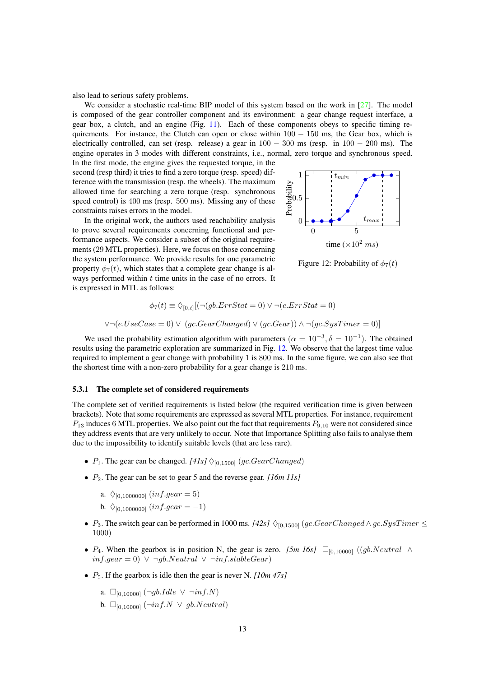also lead to serious safety problems.

We consider a stochastic real-time BIP model of this system based on the work in  $[27]$ . The model is composed of the gear controller component and its environment: a gear change request interface, a gear box, a clutch, and an engine (Fig. [11\)](#page-13-3). Each of these components obeys to specific timing requirements. For instance, the Clutch can open or close within  $100 - 150$  ms, the Gear box, which is electrically controlled, can set (resp. release) a gear in  $100 - 300$  ms (resp. in  $100 - 200$  ms). The engine operates in 3 modes with different constraints, i.e., normal, zero torque and synchronous speed. In the first mode, the engine gives the requested torque, in the

second (resp third) it tries to find a zero torque (resp. speed) difference with the transmission (resp. the wheels). The maximum allowed time for searching a zero torque (resp. synchronous speed control) is 400 ms (resp. 500 ms). Missing any of these constraints raises errors in the model.

In the original work, the authors used reachability analysis to prove several requirements concerning functional and performance aspects. We consider a subset of the original requirements (29 MTL properties). Here, we focus on those concerning the system performance. We provide results for one parametric property  $\phi_7(t)$ , which states that a complete gear change is always performed within  $t$  time units in the case of no errors. It is expressed in MTL as follows:



<span id="page-14-1"></span>Figure 12: Probability of  $\phi_7(t)$ 

$$
\phi_7(t) \equiv \Diamond_{[0,t]} [(\neg(gb. ErrStat = 0) \lor \neg(c. ErrStat = 0)
$$

$$
\lor \neg(e. UseCase = 0) \lor (gc. GearChanged) \lor (gc. Gear)) \land \neg(gc. Systemer = 0)]
$$

We used the probability estimation algorithm with parameters  $(\alpha = 10^{-3}, \delta = 10^{-1})$ . The obtained results using the parametric exploration are summarized in Fig. [12.](#page-14-1) We observe that the largest time value required to implement a gear change with probability 1 is 800 ms. In the same figure, we can also see that the shortest time with a non-zero probability for a gear change is 210 ms.

#### <span id="page-14-0"></span>5.3.1 The complete set of considered requirements

The complete set of verified requirements is listed below (the required verification time is given between brackets). Note that some requirements are expressed as several MTL properties. For instance, requirement  $P_{13}$  induces 6 MTL properties. We also point out the fact that requirements  $P_{9,10}$  were not considered since they address events that are very unlikely to occur. Note that Importance Splitting also fails to analyse them due to the impossibility to identify suitable levels (that are less rare).

- $P_1$ . The gear can be changed. *[41s]*  $\Diamond$ <sub>[0,1500]</sub> (gc.GearChanged)
- P2. The gear can be set to gear 5 and the reverse gear. *[16m 11s]*
	- a.  $\Diamond_{[0,1000000]} (inf. gear = 5)$
	- b.  $\Diamond_{[0.1000000]} (inf. gear = -1)$
- $P_3$ . The switch gear can be performed in 1000 ms. *[42s]*  $\Diamond$ <sub>[0,1500]</sub> (gc.GearChanged  $\land$  gc.SysTimer  $\leq$ 1000)
- $P_4$ . When the gearbox is in position N, the gear is zero. *[5m 16s]*  $\square_{[0,10000]}$  ((gb.Neutral  $\land$  $inf. qear = 0)$  ∨ ¬qb.Neutral ∨ ¬inf.stableGear)
- P5. If the gearbox is idle then the gear is never N. *[10m 47s]*
	- a.  $□_{[0,10000]}$  (¬gb.Idle ∨ ¬inf.N)
	- b.  $\Box_{[0,10000]}$  ( $\neg inf.N \lor gb.Neutral$ )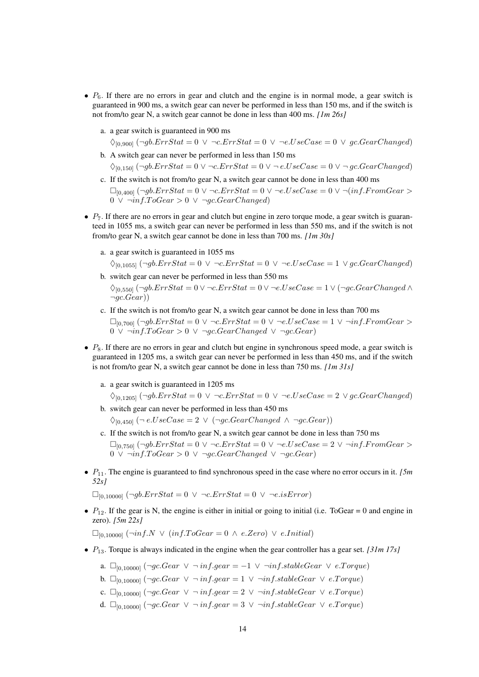- $P_6$ . If there are no errors in gear and clutch and the engine is in normal mode, a gear switch is guaranteed in 900 ms, a switch gear can never be performed in less than 150 ms, and if the switch is not from/to gear N, a switch gear cannot be done in less than 400 ms. *[1m 26s]*
	- a. a gear switch is guaranteed in 900 ms

 $\Diamond_{[0,900]}$  ( $\neg \theta$ .ErrStat = 0  $\lor \neg c$ .ErrStat = 0  $\lor \neg c$ .UseCase = 0  $\lor$  gc.GearChanged)

- b. A switch gear can never be performed in less than 150 ms  $\Diamond_{[0,150]} (\neg \text{gb. ErrStat} = 0 \lor \neg \text{c. ErrStat} = 0 \lor \neg \text{e.UseCase} = 0 \lor \neg \text{gc.GearChannel})$
- c. If the switch is not from/to gear N, a switch gear cannot be done in less than 400 ms  $\Box_{[0,400]}$  ( $\neg \theta$ ). ErrStat = 0  $\lor \neg c$ . ErrStat = 0  $\lor \neg e$ . UseCase = 0  $\lor \neg (inf.FromGear)$  $0 \vee \neg inf. ToGear > 0 \vee \neg gc.GearChanged)$
- $\bullet$   $P_7$ . If there are no errors in gear and clutch but engine in zero torque mode, a gear switch is guaranteed in 1055 ms, a switch gear can never be performed in less than 550 ms, and if the switch is not from/to gear N, a switch gear cannot be done in less than 700 ms. *[1m 30s]*
	- a. a gear switch is guaranteed in 1055 ms

$$
\lozenge_{[0,1055]} (\neg \text{gb. ErrStat} = 0 \lor \neg \text{c. ErrStat} = 0 \lor \neg \text{e.UseCase} = 1 \lor \text{gc.GearChanged})
$$

- b. switch gear can never be performed in less than 550 ms  $\Diamond$ <sub>0,550</sub>]  $(\neg qb.ErrStat = 0 \lor \neg c.ErrStat = 0 \lor \neg e.UseCase = 1 \lor (\neg qc.GearChanged \land$  $\neg ac.Gear)$
- c. If the switch is not from/to gear N, a switch gear cannot be done in less than 700 ms  $\Box$ <sub>[0,700</sub>] (¬gb.ErrStat = 0  $\lor \neg c$ .ErrStat = 0  $\lor \neg e$ .UseCase = 1  $\lor \neg inf$ .FromGear > 0 ∨  $\neg inf.ToGear > 0$  ∨  $\neg gc.GearChanged$  ∨  $\neg gc.Gear)$
- $\bullet$   $P_8$ . If there are no errors in gear and clutch but engine in synchronous speed mode, a gear switch is guaranteed in 1205 ms, a switch gear can never be performed in less than 450 ms, and if the switch is not from/to gear N, a switch gear cannot be done in less than 750 ms. *[1m 31s]*
	- a. a gear switch is guaranteed in 1205 ms

 $\Diamond_{[0,1205]}$  ( $\neg g$ b.ErrStat = 0  $\lor \neg c$ .ErrStat = 0  $\lor \neg c$ .UseCase = 2  $\lor g$ c.GearChanged)

b. switch gear can never be performed in less than 450 ms

 $\Diamond$ <sub>[0,450]</sub> (¬ e.UseCase = 2  $\lor$  (¬gc.GearChanged  $\land$  ¬gc.Gear))

- c. If the switch is not from/to gear N, a switch gear cannot be done in less than 750 ms  $\Box_{[0,750]}$  ( $\neg \theta \cdot ErrStat = 0 \lor \neg c \cdot ErrStat = 0 \lor \neg e \cdot UseCase = 2 \lor \neg \inf \cdot FromGear >$ 0  $\vee$  ¬inf.ToGear > 0  $\vee$  ¬gc.GearChanged  $\vee$  ¬gc.Gear)
- $P_{11}$ . The engine is guaranteed to find synchronous speed in the case where no error occurs in it. *[5m*] *52s]*

 $\Box_{[0,10000]}(\neg \textit{gb}.\textit{ErrStat} = 0 \lor \neg \textit{c}.\textit{ErrStat} = 0 \lor \neg \textit{e}.\textit{isError})$ 

•  $P_{12}$ . If the gear is N, the engine is either in initial or going to initial (i.e. ToGear = 0 and engine in zero). *[5m 22s]*

 $\Box_{[0,10000]}$  (¬inf.N  $\lor$  (inf.ToGear = 0  $\land$  e.Zero)  $\lor$  e.Initial)

- P13. Torque is always indicated in the engine when the gear controller has a gear set. *[31m 17s]*
	- a.  $\Box_{[0,10000]}$  (¬gc.Gear  $\lor \neg inf. gear = -1 \lor \neg inf.stableGear \lor e. Torque$ )
	- b.  $\Box_{[0,10000]} (\neg gc.Gear \lor \neg inf. gear = 1 \lor \neg inf.stableGear \lor e. Torque)$
	- c.  $\square_{[0,10000]}$  (¬gc.Gear ∨ ¬ inf.gear = 2 ∨ ¬inf.stableGear ∨ e.Torque)
	- d.  $\Box_{[0,10000]} (\neg gc.Gear \lor \neg inf. gear = 3 \lor \neg inf.stableGear \lor e. Torque)$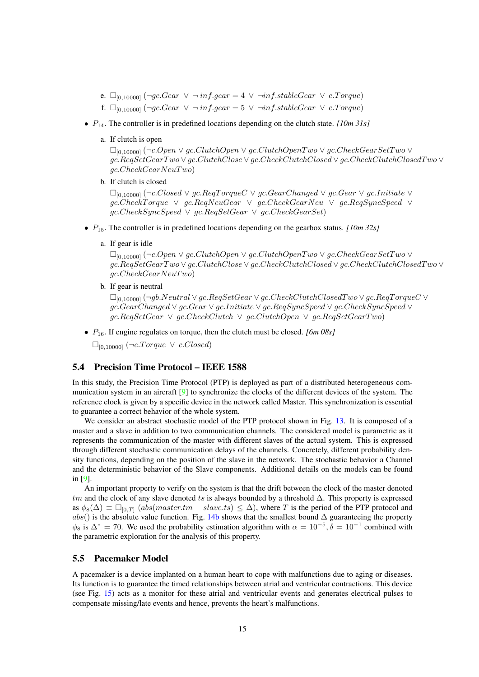- e.  $\Box_{[0,10000]}$  (¬gc.Gear ∨ ¬ inf.gear = 4 ∨ ¬inf.stableGear ∨ e.Torque)
- f.  $\Box_{[0,10000]} (\neg \textit{gc} {\textcdot} \textit{Gear } \lor \neg \textit{inf} {\textcdot} \textit{gar} = 5 \lor \neg \textit{inf} {\textcdot} \textit{stableGear } \lor \textit{e} {\textcdot} \textit{Torque})$
- $P_{14}$ . The controller is in predefined locations depending on the clutch state. *[10m 31s]* 
	- a. If clutch is open

 $\Box_{[0,10000]} (\neg c. Open \lor gc. ClutchOpen \lor gc. ClutchOpenTwo \lor gc. CheckGearSetTwo \lor$ gc.ReqSetGearT wo ∨ gc.ClutchClose ∨ gc.CheckClutchClosed ∨ gc.CheckClutchClosedT wo ∨  $qc.CheckGearNeuTwo)$ 

b. If clutch is closed

 $\Box_{[0,10000]} (\neg c.Closed \lor gc.RegTorqueC \lor gc.GearChanged \lor gc.Gear \lor gc.Initiate \lor$ gc.CheckT orque ∨ gc.ReqNeuGear ∨ gc.CheckGearNeu ∨ gc.ReqSyncSpeed ∨  $qc.CheckSyncSpeed \vee qc.RegSetGear \vee qc.CheckGearSet)$ 

- $P_{15}$ . The controller is in predefined locations depending on the gearbox status. *[10m 32s]* 
	- a. If gear is idle

 $\Box$ <sub>[0,10000]</sub> (¬c.Open  $\lor$  qc.ClutchOpen  $\lor$  qc.ClutchOpenTwo  $\lor$  qc.CheckGearSetTwo  $\lor$ gc.ReqSetGearT wo ∨ gc.ClutchClose ∨ gc.CheckClutchClosed ∨ gc.CheckClutchClosedT wo ∨  $gc.CheckGearNeuTwo)$ 

b. If gear is neutral

[0,10000] (¬gb.Neutral ∨ gc.ReqSetGear ∨ gc.CheckClutchClosedT wo ∨ gc.ReqT orqueC ∨ gc.GearChanged ∨ gc.Gear ∨ gc.Initiate ∨ gc.ReqSyncSpeed ∨ gc.CheckSyncSpeed ∨  $qc. RegSetGear \vee qc. CheckClutch \vee qc. ClutchOpen \vee qc. RegSetGearTwo)$ 

•  $P_{16}$ . If engine regulates on torque, then the clutch must be closed. *[6m 08s]* 

 $\square_{[0,10000]}$  (¬e.Torque  $\vee$  c.Closed)

### <span id="page-16-0"></span>5.4 Precision Time Protocol – IEEE 1588

In this study, the Precision Time Protocol (PTP) is deployed as part of a distributed heterogeneous communication system in an aircraft [\[9\]](#page-21-1) to synchronize the clocks of the different devices of the system. The reference clock is given by a specific device in the network called Master. This synchronization is essential to guarantee a correct behavior of the whole system.

We consider an abstract stochastic model of the PTP protocol shown in Fig. [13.](#page-17-0) It is composed of a master and a slave in addition to two communication channels. The considered model is parametric as it represents the communication of the master with different slaves of the actual system. This is expressed through different stochastic communication delays of the channels. Concretely, different probability density functions, depending on the position of the slave in the network. The stochastic behavior a Channel and the deterministic behavior of the Slave components. Additional details on the models can be found in [\[9\]](#page-21-1).

An important property to verify on the system is that the drift between the clock of the master denoted tm and the clock of any slave denoted ts is always bounded by a threshold  $\Delta$ . This property is expressed as  $\phi_8(\Delta) \equiv \Box_{[0,T]}$  (abs(master.tm – slave.ts)  $\leq \Delta$ ), where T is the period of the PTP protocol and abs() is the absolute value function. Fig. [14b](#page-17-1) shows that the smallest bound  $\Delta$  guaranteeing the property  $\phi_8$  is  $\Delta^* = 70$ . We used the probability estimation algorithm with  $\alpha = 10^{-5}$ ,  $\delta = 10^{-1}$  combined with the parametric exploration for the analysis of this property.

### <span id="page-16-1"></span>5.5 Pacemaker Model

A pacemaker is a device implanted on a human heart to cope with malfunctions due to aging or diseases. Its function is to guarantee the timed relationships between atrial and ventricular contractions. This device (see Fig. [15\)](#page-18-1) acts as a monitor for these atrial and ventricular events and generates electrical pulses to compensate missing/late events and hence, prevents the heart's malfunctions.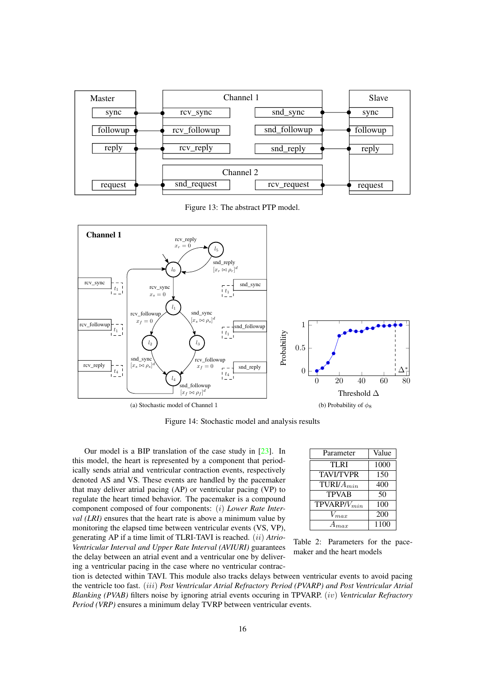<span id="page-17-0"></span>

Figure 13: The abstract PTP model.



Figure 14: Stochastic model and analysis results

Our model is a BIP translation of the case study in [\[23\]](#page-22-11). In this model, the heart is represented by a component that periodically sends atrial and ventricular contraction events, respectively denoted AS and VS. These events are handled by the pacemaker that may deliver atrial pacing (AP) or ventricular pacing (VP) to regulate the heart timed behavior. The pacemaker is a compound component composed of four components: (i) *Lower Rate Interval (LRI)* ensures that the heart rate is above a minimum value by monitoring the elapsed time between ventricular events (VS, VP), generating AP if a time limit of TLRI-TAVI is reached. (ii) *Atrio-Ventricular Interval and Upper Rate Interval (AVIURI)* guarantees the delay between an atrial event and a ventricular one by deliver-

ing a ventricular pacing in the case where no ventricular contrac-

<span id="page-17-1"></span>

| Parameter        | Value |
|------------------|-------|
| <b>TLRI</b>      | 1000  |
| <b>TAVI/TVPR</b> | 150   |
| TURI/ $A_{min}$  | 400   |
| <b>TPVAB</b>     | 50    |
| $TPVARP/V_{min}$ | 100   |
| $V_{max}$        | 200   |
|                  | 1100  |

<span id="page-17-2"></span>Table 2: Parameters for the pacemaker and the heart models

tion is detected within TAVI. This module also tracks delays between ventricular events to avoid pacing the ventricle too fast. (iii) *Post Ventricular Atrial Refractory Period (PVARP) and Post Ventricular Atrial Blanking (PVAB)* filters noise by ignoring atrial events occuring in TPVARP. (iv) *Ventricular Refractory Period (VRP)* ensures a minimum delay TVRP between ventricular events.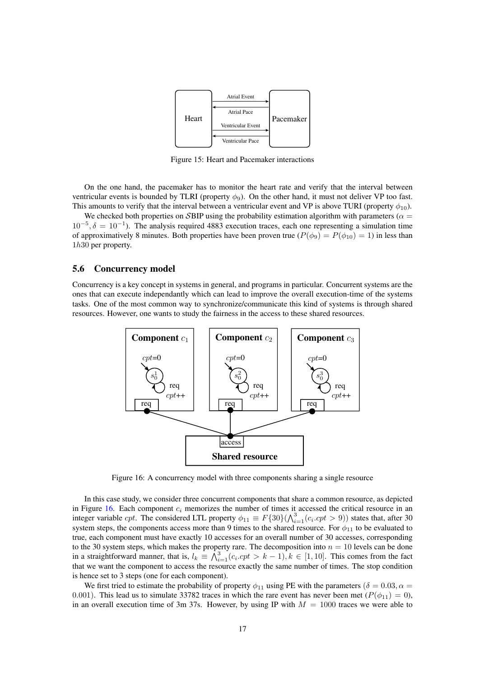<span id="page-18-1"></span>

Figure 15: Heart and Pacemaker interactions

On the one hand, the pacemaker has to monitor the heart rate and verify that the interval between ventricular events is bounded by TLRI (property  $\phi_9$ ). On the other hand, it must not deliver VP too fast. This amounts to verify that the interval between a ventricular event and VP is above TURI (property  $\phi_{10}$ ).

We checked both properties on SBIP using the probability estimation algorithm with parameters ( $\alpha =$  $10^{-5}$ ,  $\delta = 10^{-1}$ ). The analysis required 4883 execution traces, each one representing a simulation time of approximatively 8 minutes. Both properties have been proven true ( $P(\phi_9) = P(\phi_{10}) = 1$ ) in less than 1h30 per property.

#### <span id="page-18-0"></span>5.6 Concurrency model

Concurrency is a key concept in systems in general, and programs in particular. Concurrent systems are the ones that can execute independantly which can lead to improve the overall execution-time of the systems tasks. One of the most common way to synchronize/communicate this kind of systems is through shared resources. However, one wants to study the fairness in the access to these shared resources.

<span id="page-18-2"></span>

Figure 16: A concurrency model with three components sharing a single resource

In this case study, we consider three concurrent components that share a common resource, as depicted in Figure  $16$ . Each component  $c_i$  memorizes the number of times it accessed the critical resource in an integer variable *cpt*. The considered LTL property  $\phi_{11} \equiv F\{30\} (\bigwedge_{i=1}^{3} (c_i.cpt > 9))$  states that, after 30 system steps, the components access more than 9 times to the shared resource. For  $\phi_{11}$  to be evaluated to true, each component must have exactly 10 accesses for an overall number of 30 accesses, corresponding to the 30 system steps, which makes the property rare. The decomposition into  $n = 10$  levels can be done in a straightforward manner, that is,  $l_k \equiv \hat{\bigwedge}_{i=1}^3 (c_i.cpt > k-1), k \in [1,10]$ . This comes from the fact that we want the component to access the resource exactly the same number of times. The stop condition is hence set to 3 steps (one for each component).

We first tried to estimate the probability of property  $\phi_{11}$  using PE with the parameters ( $\delta = 0.03, \alpha =$ 0.001). This lead us to simulate 33782 traces in which the rare event has never been met ( $P(\phi_{11}) = 0$ ), in an overall execution time of 3m 37s. However, by using IP with  $M = 1000$  traces we were able to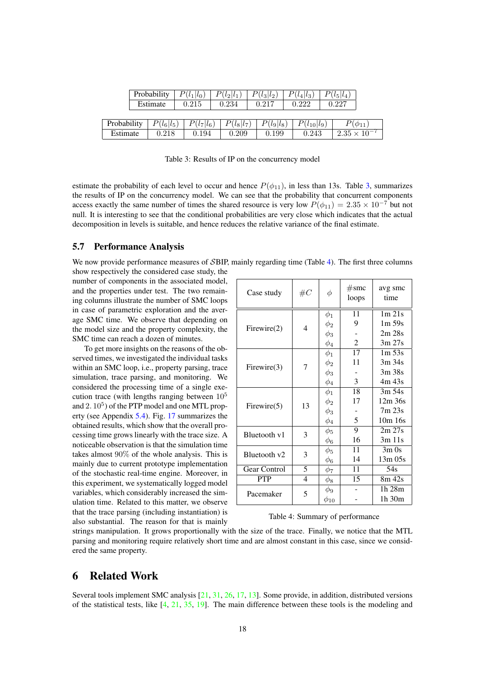<span id="page-19-2"></span>

|             |       | 0.215                   | 0.234                        | 0.217                                 |                       |                                       | 0.227                 |                                 |
|-------------|-------|-------------------------|------------------------------|---------------------------------------|-----------------------|---------------------------------------|-----------------------|---------------------------------|
|             |       |                         |                              |                                       |                       |                                       |                       |                                 |
| Probability |       |                         |                              |                                       |                       |                                       |                       | $P(\phi_{11})$                  |
| Estimate    | 0.218 |                         |                              |                                       |                       | 0.243                                 |                       | $2.35 \times 10^{-7}$           |
|             |       | Probability<br>Estimate | $P(l_1 l_0)$<br>$P(l_6 l_5)$ | $P(l_2 l_1)$<br>$P(l_7 l_6)$<br>0.194 | $P(l_8 l_7)$<br>0.209 | $P(l_3 l_2)$<br>$P(l_9 l_8)$<br>0.199 | $P(l_4 l_3)$<br>0.222 | $P(l_5 l_4)$<br>$P(l_{10} l_9)$ |

Table 3: Results of IP on the concurrency model

estimate the probability of each level to occur and hence  $P(\phi_{11})$ , in less than 13s. Table [3,](#page-19-2) summarizes the results of IP on the concurrency model. We can see that the probability that concurrent components access exactly the same number of times the shared resource is very low  $P(\phi_{11}) = 2.35 \times 10^{-7}$  but not null. It is interesting to see that the conditional probabilities are very close which indicates that the actual decomposition in levels is suitable, and hence reduces the relative variance of the final estimate.

#### <span id="page-19-0"></span>5.7 Performance Analysis

We now provide performance measures of SBIP, mainly regarding time (Table [4\)](#page-19-3). The first three columns

show respectively the considered case study, the number of components in the associated model, and the properties under test. The two remaining columns illustrate the number of SMC loops in case of parametric exploration and the average SMC time. We observe that depending on the model size and the property complexity, the SMC time can reach a dozen of minutes.

To get more insights on the reasons of the observed times, we investigated the individual tasks within an SMC loop, i.e., property parsing, trace simulation, trace parsing, and monitoring. We considered the processing time of a single execution trace (with lengths ranging between  $10<sup>5</sup>$ and 2.  $10^5$ ) of the PTP model and one MTL property (see Appendix [5.4\)](#page-16-0). Fig. [17](#page-20-3) summarizes the obtained results, which show that the overall processing time grows linearly with the trace size. A noticeable observation is that the simulation time takes almost 90% of the whole analysis. This is mainly due to current prototype implementation of the stochastic real-time engine. Moreover, in this experiment, we systematically logged model variables, which considerably increased the simulation time. Related to this matter, we observe that the trace parsing (including instantiation) is also substantial. The reason for that is mainly

| Case study     | $\#C$          | Φ           | #smc<br>loops  | avg smc<br>time |
|----------------|----------------|-------------|----------------|-----------------|
|                |                | $\phi_1$    | 11             | $1m$ 21s        |
| Firewire(2)    | 4              | $\phi_2$    | 9              | $1m\,59s$       |
|                |                | $\phi_3$    |                | 2m 28s          |
|                |                | $\phi_4$    | 2              | $3m\,27s$       |
|                |                | $\phi_1$    | 17             | $1m\,53s$       |
| Firewire(3)    | 7              | $\phi_2$    | 11             | 3m 34s          |
|                |                | $\phi_3$    |                | 3m 38s          |
|                |                | $\phi_4$    | 3              | 4m 43s          |
|                | 13             | $\phi_1$    | 18             | $3m\,54s$       |
|                |                | $\phi_2$    | 17             | $12m$ 36s       |
| Firewire $(5)$ |                | $\phi_3$    |                | 7m23s           |
|                |                | $\phi_4$    | 5              | 10m 16s         |
| Bluetooth v1   | 3              | $\phi_5$    | $\overline{9}$ | 2m 27s          |
|                |                | $\phi_6$    | 16             | $3m$ 11s        |
| Bluetooth v2   | 3              | $\phi_5$    | 11             | $3m$ Os         |
|                |                | $\phi_6$    | 14             | $13m\,05s$      |
| Gear Control   | 5              | $\phi_7$    | 11             | 54s             |
| <b>PTP</b>     | $\overline{4}$ | $\phi_8$    | 15             | $8m$ 42s        |
| Pacemaker      | 5              | $\phi_9$    |                | 1h 28m          |
|                |                | $\phi_{10}$ |                | 1h 30m          |

#### <span id="page-19-3"></span>Table 4: Summary of performance

strings manipulation. It grows proportionally with the size of the trace. Finally, we notice that the MTL parsing and monitoring require relatively short time and are almost constant in this case, since we considered the same property.

### <span id="page-19-1"></span>6 Related Work

Several tools implement SMC analysis [\[21,](#page-22-2) [31,](#page-22-12) [26,](#page-22-1) [17,](#page-21-4) [13\]](#page-21-15). Some provide, in addition, distributed versions of the statistical tests, like  $[4, 21, 35, 19]$  $[4, 21, 35, 19]$  $[4, 21, 35, 19]$  $[4, 21, 35, 19]$  $[4, 21, 35, 19]$  $[4, 21, 35, 19]$  $[4, 21, 35, 19]$ . The main difference between these tools is the modeling and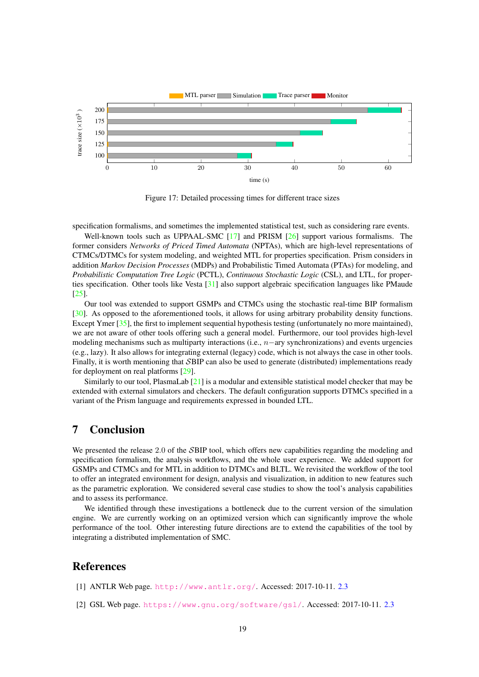<span id="page-20-3"></span>

Figure 17: Detailed processing times for different trace sizes

specification formalisms, and sometimes the implemented statistical test, such as considering rare events.

Well-known tools such as UPPAAL-SMC [\[17\]](#page-21-4) and PRISM [\[26\]](#page-22-1) support various formalisms. The former considers *Networks of Priced Timed Automata* (NPTAs), which are high-level representations of CTMCs/DTMCs for system modeling, and weighted MTL for properties specification. Prism considers in addition *Markov Decision Processes* (MDPs) and Probabilistic Timed Automata (PTAs) for modeling, and *Probabilistic Computation Tree Logic* (PCTL), *Continuous Stochastic Logic* (CSL), and LTL, for properties specification. Other tools like Vesta [\[31\]](#page-22-12) also support algebraic specification languages like PMaude [\[25\]](#page-22-14).

Our tool was extended to support GSMPs and CTMCs using the stochastic real-time BIP formalism [\[30\]](#page-22-4). As opposed to the aforementioned tools, it allows for using arbitrary probability density functions. Except Ymer [\[35\]](#page-23-0), the first to implement sequential hypothesis testing (unfortunately no more maintained), we are not aware of other tools offering such a general model. Furthermore, our tool provides high-level modeling mechanisms such as multiparty interactions (i.e.,  $n$ −ary synchronizations) and events urgencies (e.g., lazy). It also allows for integrating external (legacy) code, which is not always the case in other tools. Finally, it is worth mentioning that SBIP can also be used to generate (distributed) implementations ready for deployment on real platforms [\[29\]](#page-22-15).

Similarly to our tool, PlasmaLab  $[21]$  is a modular and extensible statistical model checker that may be extended with external simulators and checkers. The default configuration supports DTMCs specified in a variant of the Prism language and requirements expressed in bounded LTL.

### <span id="page-20-0"></span>7 Conclusion

We presented the release 2.0 of the SBIP tool, which offers new capabilities regarding the modeling and specification formalism, the analysis workflows, and the whole user experience. We added support for GSMPs and CTMCs and for MTL in addition to DTMCs and BLTL. We revisited the workflow of the tool to offer an integrated environment for design, analysis and visualization, in addition to new features such as the parametric exploration. We considered several case studies to show the tool's analysis capabilities and to assess its performance.

We identified through these investigations a bottleneck due to the current version of the simulation engine. We are currently working on an optimized version which can significantly improve the whole performance of the tool. Other interesting future directions are to extend the capabilities of the tool by integrating a distributed implementation of SMC.

### References

- <span id="page-20-1"></span>[1] ANTLR Web page. <http://www.antlr.org/>. Accessed: 2017-10-11. [2.3](#page-4-2)
- <span id="page-20-2"></span>[2] GSL Web page. <https://www.gnu.org/software/gsl/>. Accessed: 2017-10-11. [2.3](#page-4-2)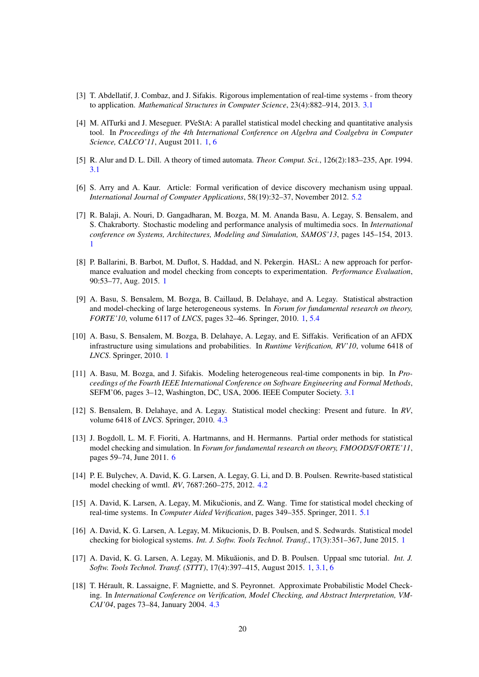- <span id="page-21-8"></span>[3] T. Abdellatif, J. Combaz, and J. Sifakis. Rigorous implementation of real-time systems - from theory to application. *Mathematical Structures in Computer Science*, 23(4):882–914, 2013. [3.1](#page-4-4)
- <span id="page-21-5"></span>[4] M. AlTurki and J. Meseguer. PVeStA: A parallel statistical model checking and quantitative analysis tool. In *Proceedings of the 4th International Conference on Algebra and Coalgebra in Computer Science, CALCO'11*, August 2011. [1,](#page-3-0) [6](#page-19-1)
- <span id="page-21-9"></span>[5] R. Alur and D. L. Dill. A theory of timed automata. *Theor. Comput. Sci.*, 126(2):183–235, Apr. 1994. [3.1](#page-4-4)
- <span id="page-21-14"></span>[6] S. Arry and A. Kaur. Article: Formal verification of device discovery mechanism using uppaal. *International Journal of Computer Applications*, 58(19):32–37, November 2012. [5.2](#page-12-0)
- <span id="page-21-2"></span>[7] R. Balaji, A. Nouri, D. Gangadharan, M. Bozga, M. M. Ananda Basu, A. Legay, S. Bensalem, and S. Chakraborty. Stochastic modeling and performance analysis of multimedia socs. In *International conference on Systems, Architectures, Modeling and Simulation, SAMOS'13*, pages 145–154, 2013. [1](#page-3-0)
- <span id="page-21-6"></span>[8] P. Ballarini, B. Barbot, M. Duflot, S. Haddad, and N. Pekergin. HASL: A new approach for performance evaluation and model checking from concepts to experimentation. *Performance Evaluation*, 90:53–77, Aug. 2015. [1](#page-3-0)
- <span id="page-21-1"></span>[9] A. Basu, S. Bensalem, M. Bozga, B. Caillaud, B. Delahaye, and A. Legay. Statistical abstraction and model-checking of large heterogeneous systems. In *Forum for fundamental research on theory, FORTE'10*, volume 6117 of *LNCS*, pages 32–46. Springer, 2010. [1,](#page-3-0) [5.4](#page-16-0)
- <span id="page-21-3"></span>[10] A. Basu, S. Bensalem, M. Bozga, B. Delahaye, A. Legay, and E. Siffakis. Verification of an AFDX infrastructure using simulations and probabilities. In *Runtime Verification, RV'10*, volume 6418 of *LNCS*. Springer, 2010. [1](#page-3-0)
- <span id="page-21-7"></span>[11] A. Basu, M. Bozga, and J. Sifakis. Modeling heterogeneous real-time components in bip. In *Proceedings of the Fourth IEEE International Conference on Software Engineering and Formal Methods*, SEFM'06, pages 3–12, Washington, DC, USA, 2006. IEEE Computer Society. [3.1](#page-4-4)
- <span id="page-21-12"></span>[12] S. Bensalem, B. Delahaye, and A. Legay. Statistical model checking: Present and future. In *RV*, volume 6418 of *LNCS*. Springer, 2010. [4.3](#page-7-1)
- <span id="page-21-15"></span>[13] J. Bogdoll, L. M. F. Fioriti, A. Hartmanns, and H. Hermanns. Partial order methods for statistical model checking and simulation. In *Forum for fundamental research on theory, FMOODS/FORTE'11*, pages 59–74, June 2011. [6](#page-19-1)
- <span id="page-21-10"></span>[14] P. E. Bulychev, A. David, K. G. Larsen, A. Legay, G. Li, and D. B. Poulsen. Rewrite-based statistical model checking of wmtl. *RV*, 7687:260–275, 2012. [4.2](#page-7-0)
- <span id="page-21-13"></span>[15] A. David, K. Larsen, A. Legay, M. Mikučionis, and Z. Wang. Time for statistical model checking of real-time systems. In *Computer Aided Verification*, pages 349–355. Springer, 2011. [5.1](#page-10-2)
- <span id="page-21-0"></span>[16] A. David, K. G. Larsen, A. Legay, M. Mikucionis, D. B. Poulsen, and S. Sedwards. Statistical model checking for biological systems. *Int. J. Softw. Tools Technol. Transf.*, 17(3):351–367, June 2015. [1](#page-3-0)
- <span id="page-21-4"></span>[17] A. David, K. G. Larsen, A. Legay, M. Mikuăionis, and D. B. Poulsen. Uppaal smc tutorial. Int. J. *Softw. Tools Technol. Transf. (STTT)*, 17(4):397–415, August 2015. [1,](#page-3-0) [3.1,](#page-4-4) [6](#page-19-1)
- <span id="page-21-11"></span>[18] T. Hérault, R. Lassaigne, F. Magniette, and S. Peyronnet. Approximate Probabilistic Model Checking. In *International Conference on Verification, Model Checking, and Abstract Interpretation, VM-CAI'04*, pages 73–84, January 2004. [4.3](#page-7-1)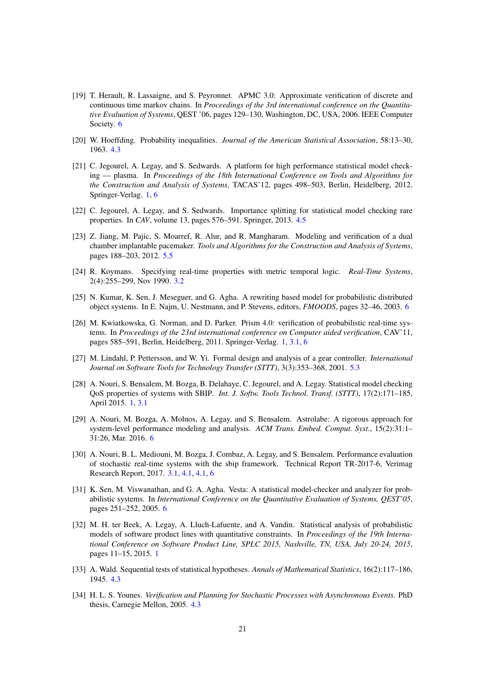- <span id="page-22-13"></span>[19] T. Herault, R. Lassaigne, and S. Peyronnet. APMC 3.0: Approximate verification of discrete and continuous time markov chains. In *Proceedings of the 3rd international conference on the Quantitative Evaluation of Systems*, QEST '06, pages 129–130, Washington, DC, USA, 2006. IEEE Computer Society. [6](#page-19-1)
- <span id="page-22-8"></span>[20] W. Hoeffding. Probability inequalities. *Journal of the American Statistical Association*, 58:13–30, 1963. [4.3](#page-7-1)
- <span id="page-22-2"></span>[21] C. Jegourel, A. Legay, and S. Sedwards. A platform for high performance statistical model checking — plasma. In *Proceedings of the 18th International Conference on Tools and Algorithms for the Construction and Analysis of Systems*, TACAS'12, pages 498–503, Berlin, Heidelberg, 2012. Springer-Verlag. [1,](#page-3-0) [6](#page-19-1)
- <span id="page-22-9"></span>[22] C. Jegourel, A. Legay, and S. Sedwards. Importance splitting for statistical model checking rare properties. In *CAV*, volume 13, pages 576–591. Springer, 2013. [4.5](#page-8-1)
- <span id="page-22-11"></span>[23] Z. Jiang, M. Pajic, S. Moarref, R. Alur, and R. Mangharam. Modeling and verification of a dual chamber implantable pacemaker. *Tools and Algorithms for the Construction and Analysis of Systems*, pages 188–203, 2012. [5.5](#page-17-2)
- <span id="page-22-5"></span>[24] R. Koymans. Specifying real-time properties with metric temporal logic. *Real-Time Systems*, 2(4):255–299, Nov 1990. [3.2](#page-6-0)
- <span id="page-22-14"></span>[25] N. Kumar, K. Sen, J. Meseguer, and G. Agha. A rewriting based model for probabilistic distributed object systems. In E. Najm, U. Nestmann, and P. Stevens, editors, *FMOODS*, pages 32–46, 2003. [6](#page-19-1)
- <span id="page-22-1"></span>[26] M. Kwiatkowska, G. Norman, and D. Parker. Prism 4.0: verification of probabilistic real-time systems. In *Proceedings of the 23rd international conference on Computer aided verification*, CAV'11, pages 585–591, Berlin, Heidelberg, 2011. Springer-Verlag. [1,](#page-3-0) [3.1,](#page-4-4) [6](#page-19-1)
- <span id="page-22-10"></span>[27] M. Lindahl, P. Pettersson, and W. Yi. Formal design and analysis of a gear controller. *International Journal on Software Tools for Technology Transfer (STTT)*, 3(3):353–368, 2001. [5.3](#page-13-3)
- <span id="page-22-3"></span>[28] A. Nouri, S. Bensalem, M. Bozga, B. Delahaye, C. Jegourel, and A. Legay. Statistical model checking QoS properties of systems with SBIP. *Int. J. Softw. Tools Technol. Transf. (STTT)*, 17(2):171–185, April 2015. [1,](#page-3-0) [3.1](#page-4-4)
- <span id="page-22-15"></span>[29] A. Nouri, M. Bozga, A. Molnos, A. Legay, and S. Bensalem. Astrolabe: A rigorous approach for system-level performance modeling and analysis. *ACM Trans. Embed. Comput. Syst.*, 15(2):31:1– 31:26, Mar. 2016. [6](#page-19-1)
- <span id="page-22-4"></span>[30] A. Nouri, B. L. Mediouni, M. Bozga, J. Combaz, A. Legay, and S. Bensalem. Performance evaluation of stochastic real-time systems with the sbip framework. Technical Report TR-2017-6, Verimag Research Report, 2017. [3.1,](#page-4-4) [4.1,](#page-6-2) [4.1,](#page-7-2) [6](#page-19-1)
- <span id="page-22-12"></span>[31] K. Sen, M. Viswanathan, and G. A. Agha. Vesta: A statistical model-checker and analyzer for probabilistic systems. In *International Conference on the Quantitative Evaluation of Systems, QEST'05*, pages 251–252, 2005. [6](#page-19-1)
- <span id="page-22-0"></span>[32] M. H. ter Beek, A. Legay, A. Lluch-Lafuente, and A. Vandin. Statistical analysis of probabilistic models of software product lines with quantitative constraints. In *Proceedings of the 19th International Conference on Software Product Line, SPLC 2015, Nashville, TN, USA, July 20-24, 2015*, pages 11–15, 2015. [1](#page-3-0)
- <span id="page-22-6"></span>[33] A. Wald. Sequential tests of statistical hypotheses. *Annals of Mathematical Statistics*, 16(2):117–186, 1945. [4.3](#page-7-1)
- <span id="page-22-7"></span>[34] H. L. S. Younes. *Verification and Planning for Stochastic Processes with Asynchronous Events*. PhD thesis, Carnegie Mellon, 2005. [4.3](#page-7-1)